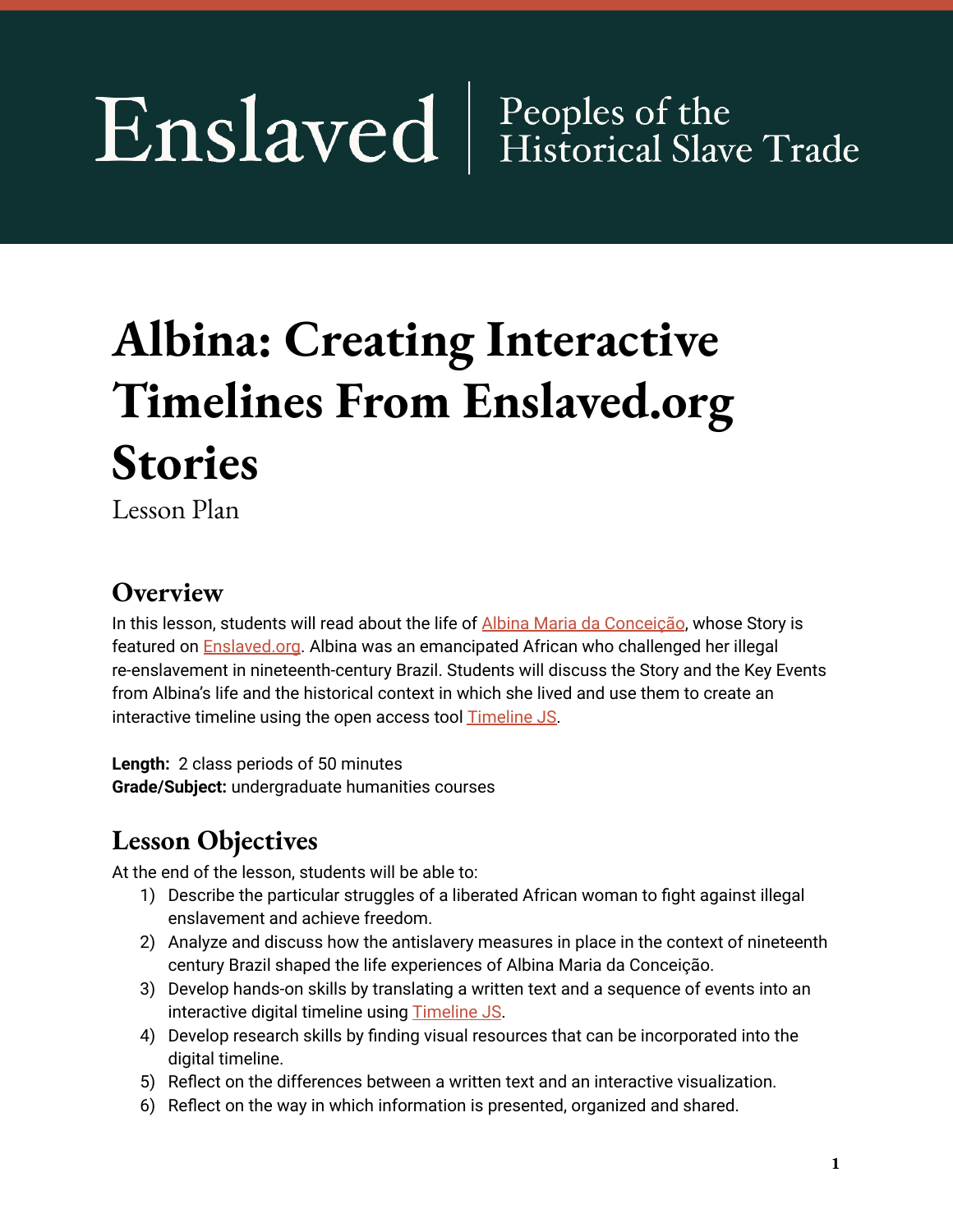# Enslaved | Peoples of the

## **Albina: Creating Interactive Timelines From Enslaved.org Stories**

Lesson Plan

#### **Overview**

In this lesson, students will read about the life of Albina Maria da [Conceição](https://enslaved.org/fullStory/16-23-106166/), whose Story is featured on [Enslaved.org](http://enslaved.org). Albina was an emancipated African who challenged her illegal re-enslavement in nineteenth-century Brazil. Students will discuss the Story and the Key Events from Albina's life and the historical context in which she lived and use them to create an interactive timeline using the open access tool **[Timeline](https://timeline.knightlab.com/) JS**.

**Length:** 2 class periods of 50 minutes **Grade/Subject:** undergraduate humanities courses

#### **Lesson Objectives**

At the end of the lesson, students will be able to:

- 1) Describe the particular struggles of a liberated African woman to fight against illegal enslavement and achieve freedom.
- 2) Analyze and discuss how the antislavery measures in place in the context of nineteenth century Brazil shaped the life experiences of Albina Maria da Conceição.
- 3) Develop hands-on skills by translating a written text and a sequence of events into an interactive digital timeline using [Timeline](https://timeline.knightlab.com/) JS.
- 4) Develop research skills by finding visual resources that can be incorporated into the digital timeline.
- 5) Reflect on the differences between a written text and an interactive visualization.
- 6) Reflect on the way in which information is presented, organized and shared.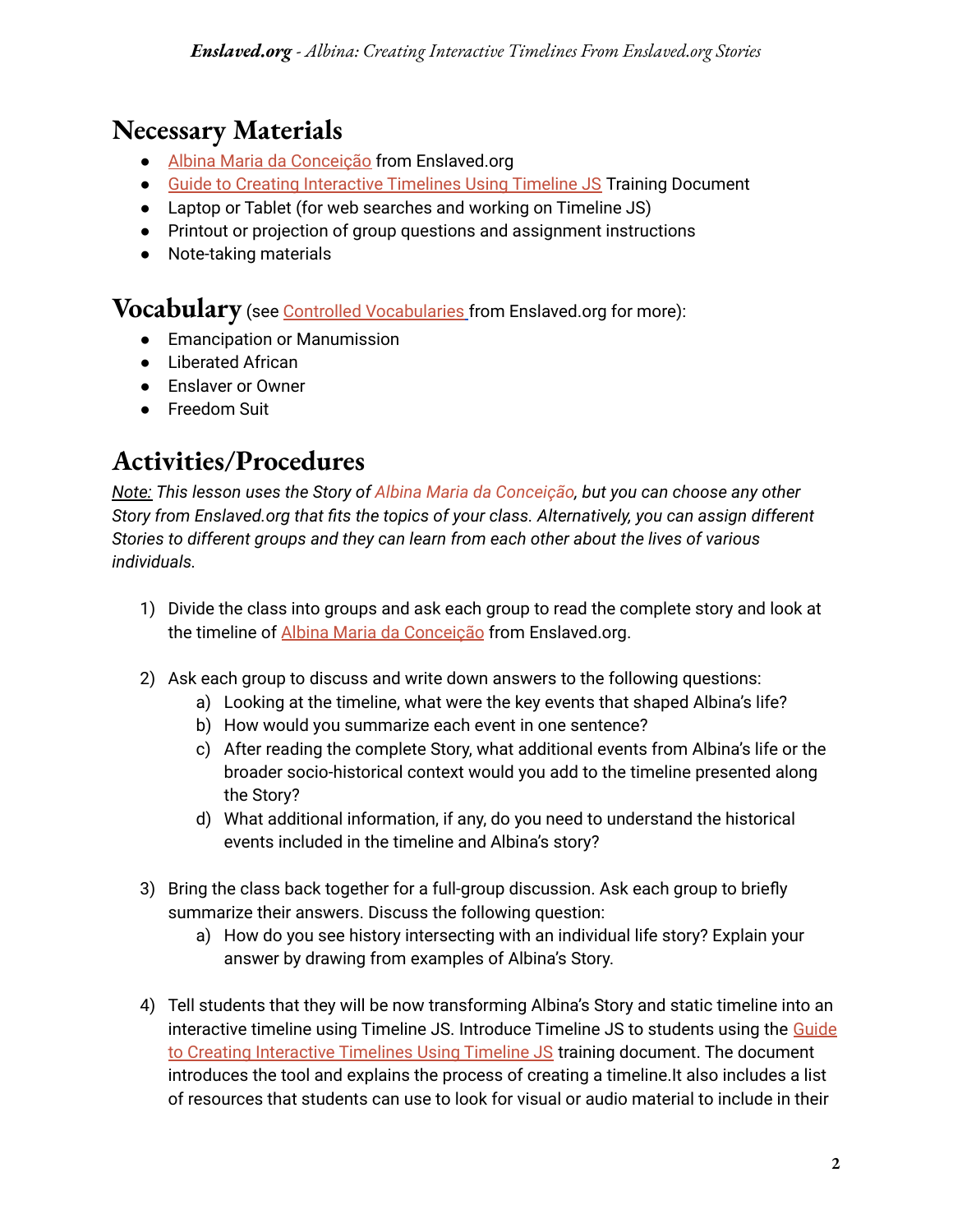#### **Necessary Materials**

- Albina Maria da [Conceição](https://enslaved.org/fullStory/16-23-106166/) from Enslaved.org
- Guide to Creating [Interactive](https://kora.enslaved.org/files/16-49-126864/GuidetoInteractiveTimelinesUsingTimelineJS.pdf) Timelines Using Timeline JS Training Document
- Laptop or Tablet (for web searches and working on Timeline JS)
- Printout or projection of group questions and assignment instructions
- Note-taking materials

**Vocabulary** (see **Controlled [Vocabularies](https://docs.enslaved.org/controlledVocabulary/v2/enslavedcontrolledvocabularies-v2.pdf)** from Enslaved.org for more):

- Emancipation or Manumission
- Liberated African
- Enslaver or Owner
- Freedom Suit

#### **Activities/Procedures**

*Note: This lesson uses the Story of Albina Maria da [Conceição](https://enslaved.org/fullStory/16-23-106166/), but you can choose any other Story from Enslaved.org that fits the topics of your class. Alternatively, you can assign different Stories to different groups and they can learn from each other about the lives of various individuals.*

- 1) Divide the class into groups and ask each group to read the complete story and look at the timeline of Albina Maria da [Conceição](https://enslaved.org/fullStory/16-23-106166/) from Enslaved.org.
- 2) Ask each group to discuss and write down answers to the following questions:
	- a) Looking at the timeline, what were the key events that shaped Albina's life?
	- b) How would you summarize each event in one sentence?
	- c) After reading the complete Story, what additional events from Albina's life or the broader socio-historical context would you add to the timeline presented along the Story?
	- d) What additional information, if any, do you need to understand the historical events included in the timeline and Albina's story?
- 3) Bring the class back together for a full-group discussion. Ask each group to briefly summarize their answers. Discuss the following question:
	- a) How do you see history intersecting with an individual life story? Explain your answer by drawing from examples of Albina's Story.
- 4) Tell students that they will be now transforming Albina's Story and static timeline into an interactive timeline using Timeline JS. Introduce Timeline JS to students using the [Guide](https://kora.enslaved.org/files/16-49-126864/GuidetoInteractiveTimelinesUsingTimelineJS.pdf) to Creating [Interactive](https://kora.enslaved.org/files/16-49-126864/GuidetoInteractiveTimelinesUsingTimelineJS.pdf) Timelines Using Timeline JS training document. The document introduces the tool and explains the process of creating a timeline.It also includes a list of resources that students can use to look for visual or audio material to include in their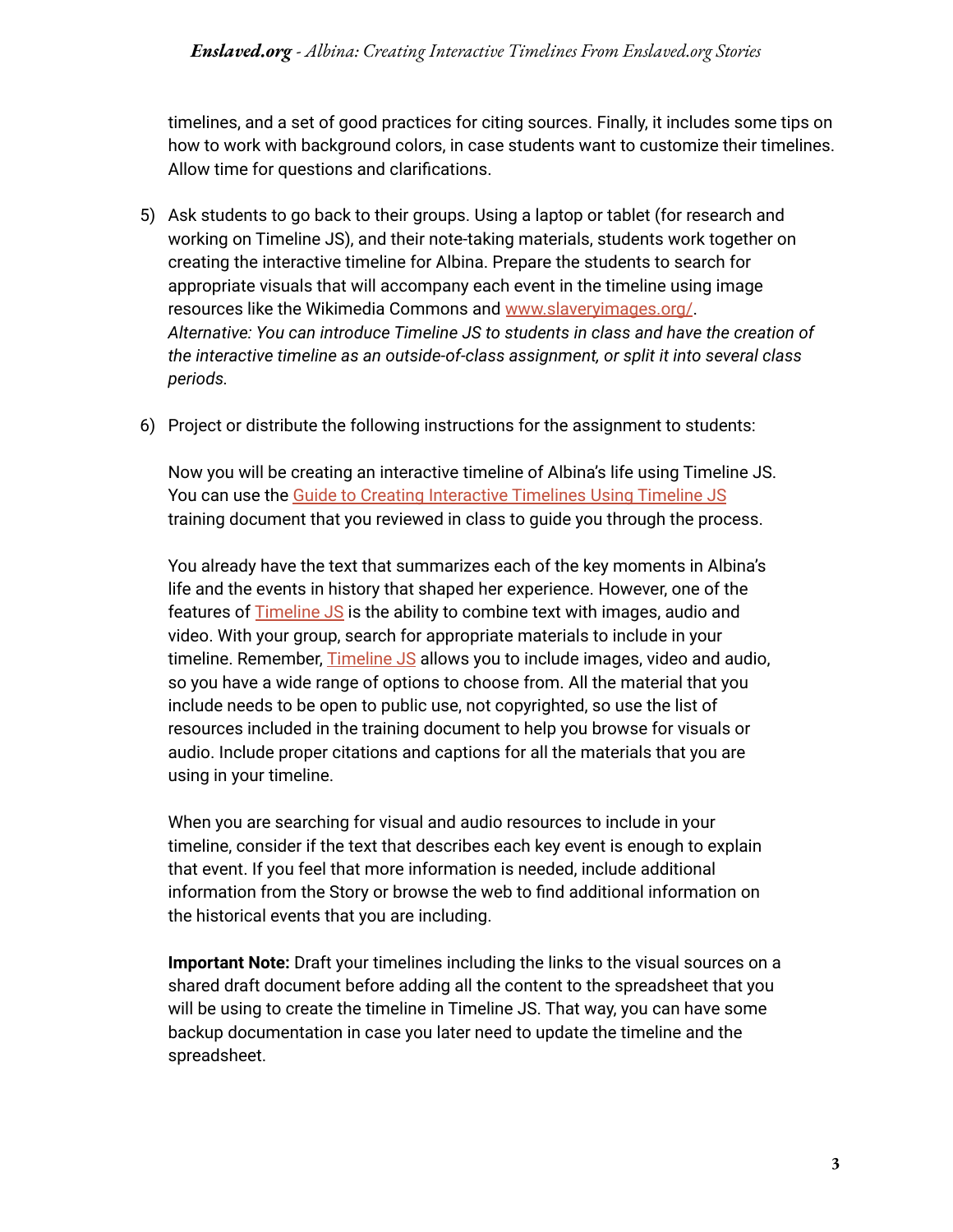timelines, and a set of good practices for citing sources. Finally, it includes some tips on how to work with background colors, in case students want to customize their timelines. Allow time for questions and clarifications.

- 5) Ask students to go back to their groups. Using a laptop or tablet (for research and working on Timeline JS), and their note-taking materials, students work together on creating the interactive timeline for Albina. Prepare the students to search for appropriate visuals that will accompany each event in the timeline using image resources like the Wikimedia Commons and [www.slaveryimages.org/](http://www.slaveryimages.org/). *Alternative: You can introduce Timeline JS to students in class and have the creation of the interactive timeline as an outside-of-class assignment, or split it into several class periods.*
- 6) Project or distribute the following instructions for the assignment to students:

Now you will be creating an interactive timeline of Albina's life using Timeline JS. You can use the Guide to Creating [Interactive](https://kora.enslaved.org/files/16-49-126864/GuidetoInteractiveTimelinesUsingTimelineJS.pdf) Timelines Using Timeline JS training document that you reviewed in class to guide you through the process.

You already have the text that summarizes each of the key moments in Albina's life and the events in history that shaped her experience. However, one of the features of [Timeline](https://timeline.knightlab.com/) JS is the ability to combine text with images, audio and video. With your group, search for appropriate materials to include in your timeline. Remember, *[Timeline](https://timeline.knightlab.com/) JS* allows you to include images, video and audio, so you have a wide range of options to choose from. All the material that you include needs to be open to public use, not copyrighted, so use the list of resources included in the training document to help you browse for visuals or audio. Include proper citations and captions for all the materials that you are using in your timeline.

When you are searching for visual and audio resources to include in your timeline, consider if the text that describes each key event is enough to explain that event. If you feel that more information is needed, include additional information from the Story or browse the web to find additional information on the historical events that you are including.

**Important Note:** Draft your timelines including the links to the visual sources on a shared draft document before adding all the content to the spreadsheet that you will be using to create the timeline in Timeline JS. That way, you can have some backup documentation in case you later need to update the timeline and the spreadsheet.